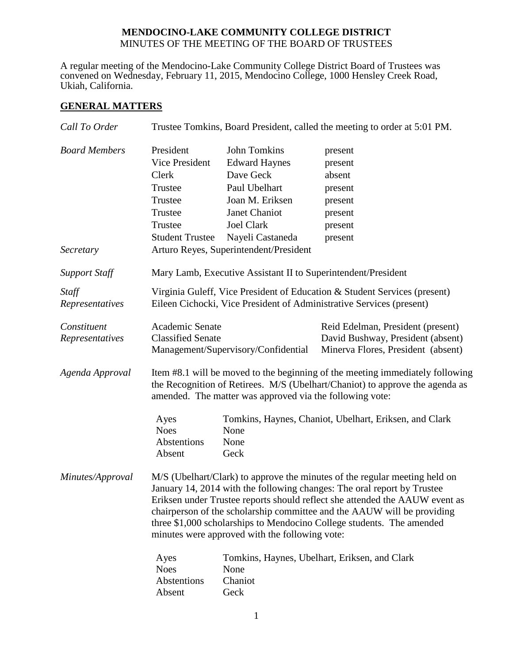## **MENDOCINO-LAKE COMMUNITY COLLEGE DISTRICT** MINUTES OF THE MEETING OF THE BOARD OF TRUSTEES

A regular meeting of the Mendocino-Lake Community College District Board of Trustees was convened on Wednesday, February 11, 2015, Mendocino College, 1000 Hensley Creek Road, Ukiah, California.

# **GENERAL MATTERS**

| Call To Order        | Trustee Tomkins, Board President, called the meeting to order at 5:01 PM.                                                                                                                                                                                                                                                                                                                                                                  |                                        |                                                        |  |  |
|----------------------|--------------------------------------------------------------------------------------------------------------------------------------------------------------------------------------------------------------------------------------------------------------------------------------------------------------------------------------------------------------------------------------------------------------------------------------------|----------------------------------------|--------------------------------------------------------|--|--|
| <b>Board Members</b> | President                                                                                                                                                                                                                                                                                                                                                                                                                                  | <b>John Tomkins</b>                    | present                                                |  |  |
|                      | Vice President                                                                                                                                                                                                                                                                                                                                                                                                                             | <b>Edward Haynes</b>                   | present                                                |  |  |
|                      | Clerk                                                                                                                                                                                                                                                                                                                                                                                                                                      | Dave Geck                              | absent                                                 |  |  |
|                      | Trustee                                                                                                                                                                                                                                                                                                                                                                                                                                    | Paul Ubelhart                          | present                                                |  |  |
|                      | Trustee                                                                                                                                                                                                                                                                                                                                                                                                                                    | Joan M. Eriksen                        | present                                                |  |  |
|                      | Trustee                                                                                                                                                                                                                                                                                                                                                                                                                                    | Janet Chaniot                          | present                                                |  |  |
|                      | Trustee                                                                                                                                                                                                                                                                                                                                                                                                                                    | <b>Joel Clark</b>                      | present                                                |  |  |
|                      | <b>Student Trustee</b>                                                                                                                                                                                                                                                                                                                                                                                                                     | Nayeli Castaneda                       | present                                                |  |  |
| Secretary            |                                                                                                                                                                                                                                                                                                                                                                                                                                            | Arturo Reyes, Superintendent/President |                                                        |  |  |
| <b>Support Staff</b> | Mary Lamb, Executive Assistant II to Superintendent/President                                                                                                                                                                                                                                                                                                                                                                              |                                        |                                                        |  |  |
| Staff                | Virginia Guleff, Vice President of Education & Student Services (present)                                                                                                                                                                                                                                                                                                                                                                  |                                        |                                                        |  |  |
| Representatives      | Eileen Cichocki, Vice President of Administrative Services (present)                                                                                                                                                                                                                                                                                                                                                                       |                                        |                                                        |  |  |
| Constituent          | Academic Senate                                                                                                                                                                                                                                                                                                                                                                                                                            |                                        | Reid Edelman, President (present)                      |  |  |
| Representatives      | <b>Classified Senate</b>                                                                                                                                                                                                                                                                                                                                                                                                                   |                                        | David Bushway, President (absent)                      |  |  |
|                      | Management/Supervisory/Confidential<br>Minerva Flores, President (absent)                                                                                                                                                                                                                                                                                                                                                                  |                                        |                                                        |  |  |
| Agenda Approval      | Item #8.1 will be moved to the beginning of the meeting immediately following<br>the Recognition of Retirees. M/S (Ubelhart/Chaniot) to approve the agenda as<br>amended. The matter was approved via the following vote:                                                                                                                                                                                                                  |                                        |                                                        |  |  |
|                      | Ayes                                                                                                                                                                                                                                                                                                                                                                                                                                       |                                        | Tomkins, Haynes, Chaniot, Ubelhart, Eriksen, and Clark |  |  |
|                      | <b>Noes</b>                                                                                                                                                                                                                                                                                                                                                                                                                                | None                                   |                                                        |  |  |
|                      | Abstentions                                                                                                                                                                                                                                                                                                                                                                                                                                | None                                   |                                                        |  |  |
|                      | Absent                                                                                                                                                                                                                                                                                                                                                                                                                                     | Geck                                   |                                                        |  |  |
| Minutes/Approval     | M/S (Ubelhart/Clark) to approve the minutes of the regular meeting held on<br>January 14, 2014 with the following changes: The oral report by Trustee<br>Eriksen under Trustee reports should reflect she attended the AAUW event as<br>chairperson of the scholarship committee and the AAUW will be providing<br>three \$1,000 scholarships to Mendocino College students. The amended<br>minutes were approved with the following vote: |                                        |                                                        |  |  |
|                      | Ayes                                                                                                                                                                                                                                                                                                                                                                                                                                       |                                        | Tomkins, Haynes, Ubelhart, Eriksen, and Clark          |  |  |
|                      | <b>Noes</b>                                                                                                                                                                                                                                                                                                                                                                                                                                | None                                   |                                                        |  |  |
|                      | Abstentions                                                                                                                                                                                                                                                                                                                                                                                                                                | Chaniot                                |                                                        |  |  |
|                      | Absent                                                                                                                                                                                                                                                                                                                                                                                                                                     | Geck                                   |                                                        |  |  |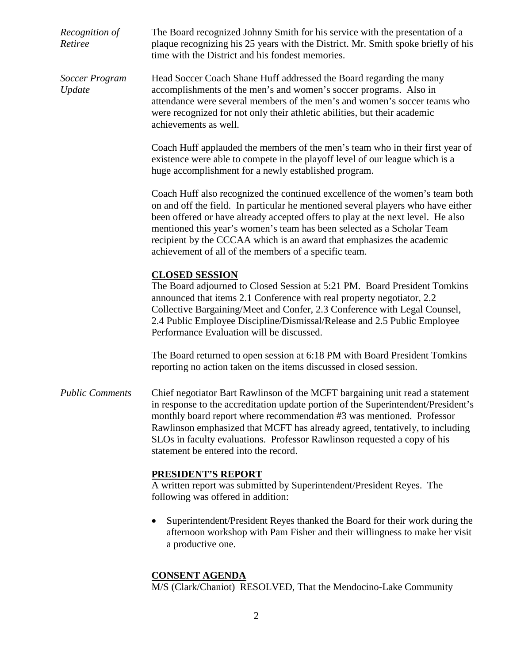*Recognition of Retiree* The Board recognized Johnny Smith for his service with the presentation of a plaque recognizing his 25 years with the District. Mr. Smith spoke briefly of his time with the District and his fondest memories. *Soccer Program Update* Head Soccer Coach Shane Huff addressed the Board regarding the many accomplishments of the men's and women's soccer programs. Also in attendance were several members of the men's and women's soccer teams who were recognized for not only their athletic abilities, but their academic achievements as well. Coach Huff applauded the members of the men's team who in their first year of existence were able to compete in the playoff level of our league which is a huge accomplishment for a newly established program. Coach Huff also recognized the continued excellence of the women's team both on and off the field. In particular he mentioned several players who have either been offered or have already accepted offers to play at the next level. He also mentioned this year's women's team has been selected as a Scholar Team recipient by the CCCAA which is an award that emphasizes the academic achievement of all of the members of a specific team. **CLOSED SESSION** The Board adjourned to Closed Session at 5:21 PM. Board President Tomkins announced that items 2.1 Conference with real property negotiator, 2.2 Collective Bargaining/Meet and Confer, 2.3 Conference with Legal Counsel, 2.4 Public Employee Discipline/Dismissal/Release and 2.5 Public Employee Performance Evaluation will be discussed. The Board returned to open session at 6:18 PM with Board President Tomkins reporting no action taken on the items discussed in closed session. *Public Comments* Chief negotiator Bart Rawlinson of the MCFT bargaining unit read a statement in response to the accreditation update portion of the Superintendent/President's monthly board report where recommendation #3 was mentioned. Professor Rawlinson emphasized that MCFT has already agreed, tentatively, to including SLOs in faculty evaluations. Professor Rawlinson requested a copy of his statement be entered into the record. **PRESIDENT'S REPORT** A written report was submitted by Superintendent/President Reyes. The following was offered in addition: • Superintendent/President Reyes thanked the Board for their work during the afternoon workshop with Pam Fisher and their willingness to make her visit a productive one.

#### **CONSENT AGENDA**

M/S (Clark/Chaniot) RESOLVED, That the Mendocino-Lake Community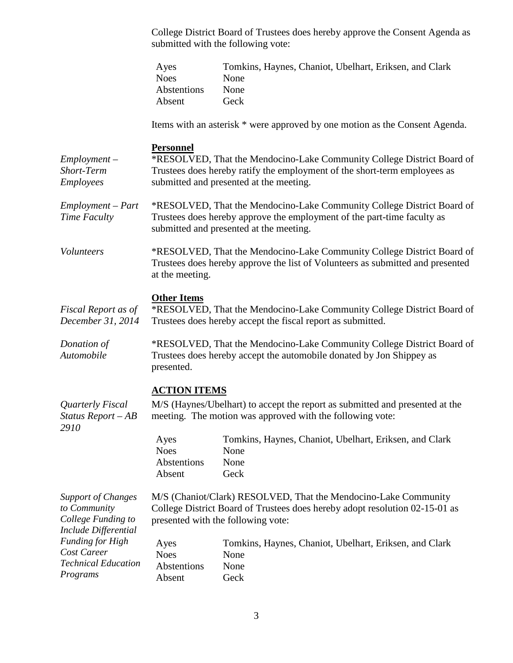College District Board of Trustees does hereby approve the Consent Agenda as submitted with the following vote:

|                                                                                         | Ayes<br><b>Noes</b><br>Abstentions<br>Absent                                                                                                                                                                       | Tomkins, Haynes, Chaniot, Ubelhart, Eriksen, and Clark<br>None<br>None<br>Geck                                                                                                                                              |  |
|-----------------------------------------------------------------------------------------|--------------------------------------------------------------------------------------------------------------------------------------------------------------------------------------------------------------------|-----------------------------------------------------------------------------------------------------------------------------------------------------------------------------------------------------------------------------|--|
|                                                                                         |                                                                                                                                                                                                                    | Items with an asterisk * were approved by one motion as the Consent Agenda.                                                                                                                                                 |  |
| $Employment -$<br>Short-Term<br>Employees                                               | <b>Personnel</b><br>*RESOLVED, That the Mendocino-Lake Community College District Board of<br>Trustees does hereby ratify the employment of the short-term employees as<br>submitted and presented at the meeting. |                                                                                                                                                                                                                             |  |
| Employment – Part<br>Time Faculty                                                       | *RESOLVED, That the Mendocino-Lake Community College District Board of<br>Trustees does hereby approve the employment of the part-time faculty as<br>submitted and presented at the meeting.                       |                                                                                                                                                                                                                             |  |
| Volunteers                                                                              | *RESOLVED, That the Mendocino-Lake Community College District Board of<br>Trustees does hereby approve the list of Volunteers as submitted and presented<br>at the meeting.                                        |                                                                                                                                                                                                                             |  |
| Fiscal Report as of<br>December 31, 2014                                                | <b>Other Items</b><br>*RESOLVED, That the Mendocino-Lake Community College District Board of<br>Trustees does hereby accept the fiscal report as submitted.                                                        |                                                                                                                                                                                                                             |  |
| Donation of<br>Automobile                                                               | *RESOLVED, That the Mendocino-Lake Community College District Board of<br>Trustees does hereby accept the automobile donated by Jon Shippey as<br>presented.                                                       |                                                                                                                                                                                                                             |  |
| Quarterly Fiscal<br>Status Report-AB<br>2910                                            | <b>ACTION ITEMS</b><br>Ayes<br><b>Noes</b><br>Abstentions<br>Absent                                                                                                                                                | M/S (Haynes/Ubelhart) to accept the report as submitted and presented at the<br>meeting. The motion was approved with the following vote:<br>Tomkins, Haynes, Chaniot, Ubelhart, Eriksen, and Clark<br>None<br>None<br>Geck |  |
| <b>Support of Changes</b><br>to Community<br>College Funding to<br>Include Differential | M/S (Chaniot/Clark) RESOLVED, That the Mendocino-Lake Community<br>College District Board of Trustees does hereby adopt resolution 02-15-01 as<br>presented with the following vote:                               |                                                                                                                                                                                                                             |  |
| <b>Funding for High</b><br>Cost Career<br><b>Technical Education</b><br>Programs        | Ayes<br><b>Noes</b><br>Abstentions<br>Absent                                                                                                                                                                       | Tomkins, Haynes, Chaniot, Ubelhart, Eriksen, and Clark<br>None<br>None<br>Geck                                                                                                                                              |  |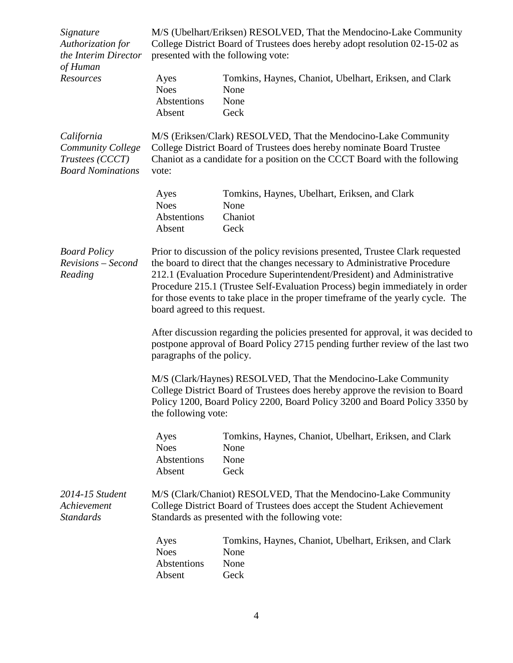| Signature<br>Authorization for<br>the Interim Director                         | M/S (Ubelhart/Eriksen) RESOLVED, That the Mendocino-Lake Community<br>College District Board of Trustees does hereby adopt resolution 02-15-02 as<br>presented with the following vote:                                                                                                                                                                                                                                                      |                                                                                |  |  |
|--------------------------------------------------------------------------------|----------------------------------------------------------------------------------------------------------------------------------------------------------------------------------------------------------------------------------------------------------------------------------------------------------------------------------------------------------------------------------------------------------------------------------------------|--------------------------------------------------------------------------------|--|--|
| of Human<br>Resources                                                          | Ayes<br><b>Noes</b><br>Abstentions<br>Absent                                                                                                                                                                                                                                                                                                                                                                                                 | Tomkins, Haynes, Chaniot, Ubelhart, Eriksen, and Clark<br>None<br>None<br>Geck |  |  |
| California<br>Community College<br>Trustees (CCCT)<br><b>Board Nominations</b> | M/S (Eriksen/Clark) RESOLVED, That the Mendocino-Lake Community<br>College District Board of Trustees does hereby nominate Board Trustee<br>Chaniot as a candidate for a position on the CCCT Board with the following<br>vote:                                                                                                                                                                                                              |                                                                                |  |  |
|                                                                                | Ayes<br><b>Noes</b><br>Abstentions<br>Absent                                                                                                                                                                                                                                                                                                                                                                                                 | Tomkins, Haynes, Ubelhart, Eriksen, and Clark<br>None<br>Chaniot<br>Geck       |  |  |
| <b>Board Policy</b><br>Revisions - Second<br>Reading                           | Prior to discussion of the policy revisions presented, Trustee Clark requested<br>the board to direct that the changes necessary to Administrative Procedure<br>212.1 (Evaluation Procedure Superintendent/President) and Administrative<br>Procedure 215.1 (Trustee Self-Evaluation Process) begin immediately in order<br>for those events to take place in the proper timeframe of the yearly cycle. The<br>board agreed to this request. |                                                                                |  |  |
|                                                                                | After discussion regarding the policies presented for approval, it was decided to<br>postpone approval of Board Policy 2715 pending further review of the last two<br>paragraphs of the policy.                                                                                                                                                                                                                                              |                                                                                |  |  |
|                                                                                | M/S (Clark/Haynes) RESOLVED, That the Mendocino-Lake Community<br>College District Board of Trustees does hereby approve the revision to Board<br>Policy 1200, Board Policy 2200, Board Policy 3200 and Board Policy 3350 by<br>the following vote:                                                                                                                                                                                          |                                                                                |  |  |
|                                                                                | Ayes<br><b>Noes</b><br>Abstentions<br>Absent                                                                                                                                                                                                                                                                                                                                                                                                 | Tomkins, Haynes, Chaniot, Ubelhart, Eriksen, and Clark<br>None<br>None<br>Geck |  |  |
| 2014-15 Student<br>Achievement<br><b>Standards</b>                             | M/S (Clark/Chaniot) RESOLVED, That the Mendocino-Lake Community<br>College District Board of Trustees does accept the Student Achievement<br>Standards as presented with the following vote:                                                                                                                                                                                                                                                 |                                                                                |  |  |
|                                                                                | Ayes<br><b>Noes</b><br>Abstentions<br>Absent                                                                                                                                                                                                                                                                                                                                                                                                 | Tomkins, Haynes, Chaniot, Ubelhart, Eriksen, and Clark<br>None<br>None<br>Geck |  |  |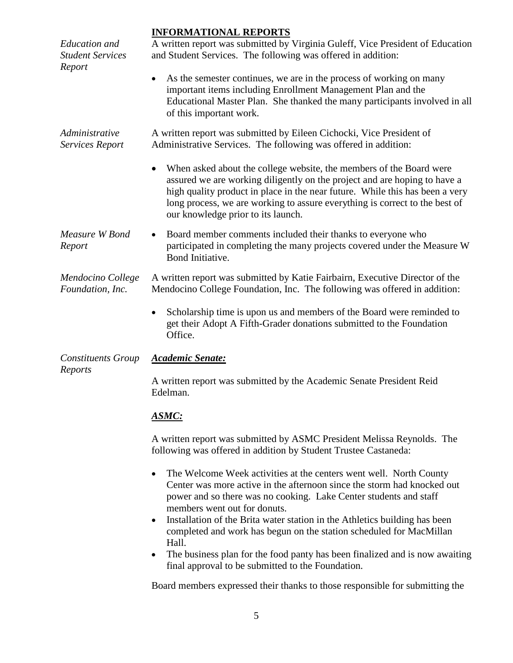# **INFORMATIONAL REPORTS**

| <b>Education</b> and<br><b>Student Services</b> | <u>INFUKMATIUNAL KEPUKTS</u><br>A written report was submitted by Virginia Guleff, Vice President of Education<br>and Student Services. The following was offered in addition:                                                                                                                                                                        |  |  |  |  |
|-------------------------------------------------|-------------------------------------------------------------------------------------------------------------------------------------------------------------------------------------------------------------------------------------------------------------------------------------------------------------------------------------------------------|--|--|--|--|
| Report                                          | As the semester continues, we are in the process of working on many<br>important items including Enrollment Management Plan and the<br>Educational Master Plan. She thanked the many participants involved in all<br>of this important work.                                                                                                          |  |  |  |  |
| Administrative<br>Services Report               | A written report was submitted by Eileen Cichocki, Vice President of<br>Administrative Services. The following was offered in addition:                                                                                                                                                                                                               |  |  |  |  |
|                                                 | When asked about the college website, the members of the Board were<br>assured we are working diligently on the project and are hoping to have a<br>high quality product in place in the near future. While this has been a very<br>long process, we are working to assure everything is correct to the best of<br>our knowledge prior to its launch. |  |  |  |  |
| Measure W Bond<br>Report                        | Board member comments included their thanks to everyone who<br>$\bullet$<br>participated in completing the many projects covered under the Measure W<br>Bond Initiative.                                                                                                                                                                              |  |  |  |  |
| Mendocino College<br>Foundation, Inc.           | A written report was submitted by Katie Fairbairn, Executive Director of the<br>Mendocino College Foundation, Inc. The following was offered in addition:                                                                                                                                                                                             |  |  |  |  |
|                                                 | Scholarship time is upon us and members of the Board were reminded to<br>get their Adopt A Fifth-Grader donations submitted to the Foundation<br>Office.                                                                                                                                                                                              |  |  |  |  |
| <b>Constituents Group</b>                       | <b>Academic Senate:</b>                                                                                                                                                                                                                                                                                                                               |  |  |  |  |
| Reports                                         | A written report was submitted by the Academic Senate President Reid<br>Edelman.                                                                                                                                                                                                                                                                      |  |  |  |  |
|                                                 | <b>ASMC:</b>                                                                                                                                                                                                                                                                                                                                          |  |  |  |  |
|                                                 | A written report was submitted by ASMC President Melissa Reynolds. The<br>following was offered in addition by Student Trustee Castaneda:                                                                                                                                                                                                             |  |  |  |  |
|                                                 | The Welcome Week activities at the centers went well. North County<br>Center was more active in the afternoon since the storm had knocked out<br>power and so there was no cooking. Lake Center students and staff<br>members went out for donuts.                                                                                                    |  |  |  |  |
|                                                 | Installation of the Brita water station in the Athletics building has been<br>٠<br>completed and work has begun on the station scheduled for MacMillan                                                                                                                                                                                                |  |  |  |  |
|                                                 | Hall.<br>The business plan for the food panty has been finalized and is now awaiting<br>final approval to be submitted to the Foundation.                                                                                                                                                                                                             |  |  |  |  |
|                                                 | Board members expressed their thanks to those responsible for submitting the                                                                                                                                                                                                                                                                          |  |  |  |  |

5